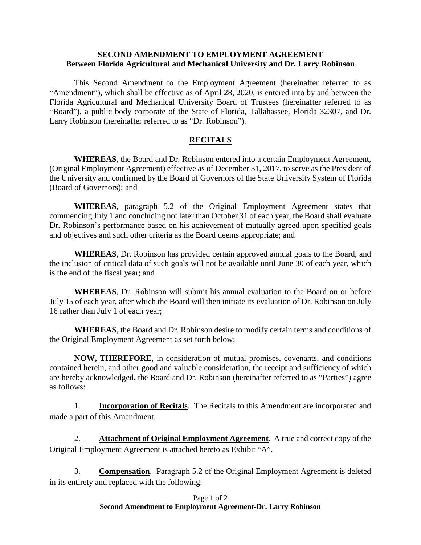## **SECOND AMENDMENT TO EMPLOYMENT AGREEMENT Between Florida Agricultural and Mechanical University and Dr. Larry Robinson**

This Second Amendment to the Employment Agreement (hereinafter referred to as "Amendment"), which shall be effective as of April 28, 2020, is entered into by and between the Florida Agricultural and Mechanical University Board of Trustees (hereinafter referred to as "Board"), a public body corporate of the State of Florida, Tallahassee, Florida 32307, and Dr. Larry Robinson (hereinafter referred to as "Dr. Robinson").

## **RECITALS**

**WHEREAS**, the Board and Dr. Robinson entered into a certain Employment Agreement, (Original Employment Agreement) effective as of December 31, 2017, to serve as the President of the University and confirmed by the Board of Governors of the State University System of Florida (Board of Governors); and

**WHEREAS**, paragraph 5.2 of the Original Employment Agreement states that commencing July 1 and concluding not later than October 31 of each year, the Board shall evaluate Dr. Robinson's performance based on his achievement of mutually agreed upon specified goals and objectives and such other criteria as the Board deems appropriate; and

**WHEREAS**, Dr. Robinson has provided certain approved annual goals to the Board, and the inclusion of critical data of such goals will not be available until June 30 of each year, which is the end of the fiscal year; and

**WHEREAS**, Dr. Robinson will submit his annual evaluation to the Board on or before July 15 of each year, after which the Board will then initiate its evaluation of Dr. Robinson on July 16 rather than July 1 of each year;

**WHEREAS**, the Board and Dr. Robinson desire to modify certain terms and conditions of the Original Employment Agreement as set forth below;

**NOW, THEREFORE**, in consideration of mutual promises, covenants, and conditions contained herein, and other good and valuable consideration, the receipt and sufficiency of which are hereby acknowledged, the Board and Dr. Robinson (hereinafter referred to as "Parties") agree as follows:

1. **Incorporation of Recitals**. The Recitals to this Amendment are incorporated and made a part of this Amendment.

2. **Attachment of Original Employment Agreement**. A true and correct copy of the Original Employment Agreement is attached hereto as Exhibit "A".

3. **Compensation**. Paragraph 5.2 of the Original Employment Agreement is deleted in its entirety and replaced with the following: